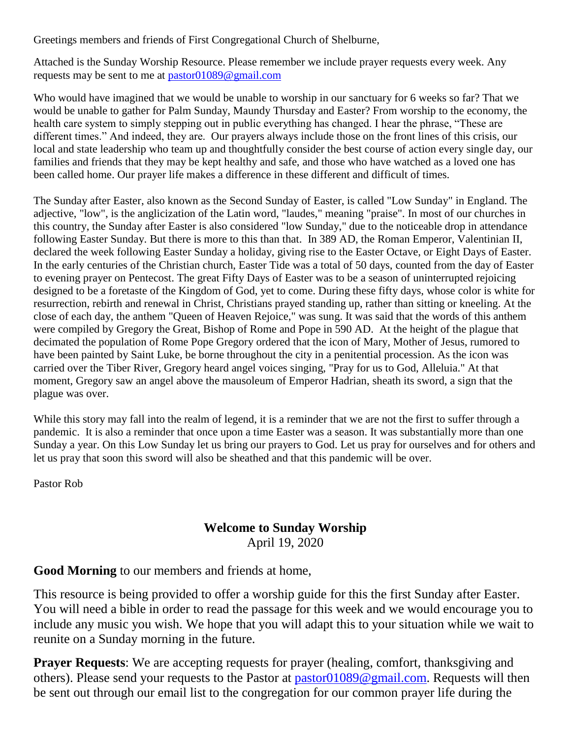Greetings members and friends of First Congregational Church of Shelburne,

Attached is the Sunday Worship Resource. Please remember we include prayer requests every week. Any requests may be sent to me at [pastor01089@gmail.com](mailto:pastor01089@gmail.com)

Who would have imagined that we would be unable to worship in our sanctuary for 6 weeks so far? That we would be unable to gather for Palm Sunday, Maundy Thursday and Easter? From worship to the economy, the health care system to simply stepping out in public everything has changed. I hear the phrase, "These are different times." And indeed, they are. Our prayers always include those on the front lines of this crisis, our local and state leadership who team up and thoughtfully consider the best course of action every single day, our families and friends that they may be kept healthy and safe, and those who have watched as a loved one has been called home. Our prayer life makes a difference in these different and difficult of times.

The Sunday after Easter, also known as the Second Sunday of Easter, is called "Low Sunday" in England. The adjective, "low", is the anglicization of the Latin word, "laudes," meaning "praise". In most of our churches in this country, the Sunday after Easter is also considered "low Sunday," due to the noticeable drop in attendance following Easter Sunday. But there is more to this than that. In 389 AD, the Roman Emperor, Valentinian II, declared the week following Easter Sunday a holiday, giving rise to the Easter Octave, or Eight Days of Easter. In the early centuries of the Christian church, Easter Tide was a total of 50 days, counted from the day of Easter to evening prayer on Pentecost. The great Fifty Days of Easter was to be a season of uninterrupted rejoicing designed to be a foretaste of the Kingdom of God, yet to come. During these fifty days, whose color is white for resurrection, rebirth and renewal in Christ, Christians prayed standing up, rather than sitting or kneeling. At the close of each day, the anthem "Queen of Heaven Rejoice," was sung. It was said that the words of this anthem were compiled by Gregory the Great, Bishop of Rome and Pope in 590 AD. At the height of the plague that decimated the population of Rome Pope Gregory ordered that the icon of Mary, Mother of Jesus, rumored to have been painted by Saint Luke, be borne throughout the city in a penitential procession. As the icon was carried over the Tiber River, Gregory heard angel voices singing, "Pray for us to God, Alleluia." At that moment, Gregory saw an angel above the mausoleum of Emperor Hadrian, sheath its sword, a sign that the plague was over.

While this story may fall into the realm of legend, it is a reminder that we are not the first to suffer through a pandemic. It is also a reminder that once upon a time Easter was a season. It was substantially more than one Sunday a year. On this Low Sunday let us bring our prayers to God. Let us pray for ourselves and for others and let us pray that soon this sword will also be sheathed and that this pandemic will be over.

Pastor Rob

# **Welcome to Sunday Worship**

April 19, 2020

**Good Morning** to our members and friends at home,

This resource is being provided to offer a worship guide for this the first Sunday after Easter. You will need a bible in order to read the passage for this week and we would encourage you to include any music you wish. We hope that you will adapt this to your situation while we wait to reunite on a Sunday morning in the future.

**Prayer Requests:** We are accepting requests for prayer (healing, comfort, thanksgiving and others). Please send your requests to the Pastor at [pastor01089@gmail.com.](mailto:pastor01089@gmail.com) Requests will then be sent out through our email list to the congregation for our common prayer life during the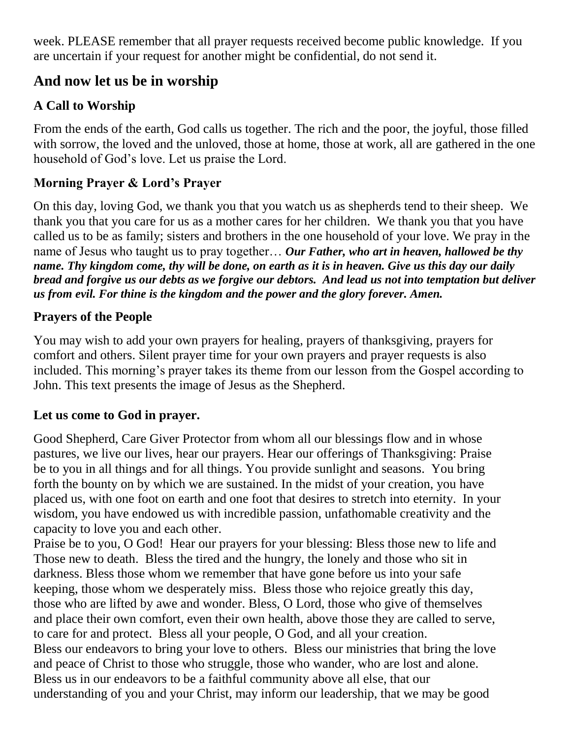week. PLEASE remember that all prayer requests received become public knowledge. If you are uncertain if your request for another might be confidential, do not send it.

## **And now let us be in worship**

## **A Call to Worship**

From the ends of the earth, God calls us together. The rich and the poor, the joyful, those filled with sorrow, the loved and the unloved, those at home, those at work, all are gathered in the one household of God's love. Let us praise the Lord.

## **Morning Prayer & Lord's Prayer**

On this day, loving God, we thank you that you watch us as shepherds tend to their sheep. We thank you that you care for us as a mother cares for her children. We thank you that you have called us to be as family; sisters and brothers in the one household of your love. We pray in the name of Jesus who taught us to pray together… *Our Father, who art in heaven, hallowed be thy name. Thy kingdom come, thy will be done, on earth as it is in heaven. Give us this day our daily bread and forgive us our debts as we forgive our debtors. And lead us not into temptation but deliver us from evil. For thine is the kingdom and the power and the glory forever. Amen.*

### **Prayers of the People**

You may wish to add your own prayers for healing, prayers of thanksgiving, prayers for comfort and others. Silent prayer time for your own prayers and prayer requests is also included. This morning's prayer takes its theme from our lesson from the Gospel according to John. This text presents the image of Jesus as the Shepherd.

## **Let us come to God in prayer.**

Good Shepherd, Care Giver Protector from whom all our blessings flow and in whose pastures, we live our lives, hear our prayers. Hear our offerings of Thanksgiving: Praise be to you in all things and for all things. You provide sunlight and seasons. You bring forth the bounty on by which we are sustained. In the midst of your creation, you have placed us, with one foot on earth and one foot that desires to stretch into eternity. In your wisdom, you have endowed us with incredible passion, unfathomable creativity and the capacity to love you and each other.

Praise be to you, O God! Hear our prayers for your blessing: Bless those new to life and Those new to death. Bless the tired and the hungry, the lonely and those who sit in darkness. Bless those whom we remember that have gone before us into your safe keeping, those whom we desperately miss. Bless those who rejoice greatly this day, those who are lifted by awe and wonder. Bless, O Lord, those who give of themselves and place their own comfort, even their own health, above those they are called to serve, to care for and protect. Bless all your people, O God, and all your creation. Bless our endeavors to bring your love to others. Bless our ministries that bring the love and peace of Christ to those who struggle, those who wander, who are lost and alone. Bless us in our endeavors to be a faithful community above all else, that our understanding of you and your Christ, may inform our leadership, that we may be good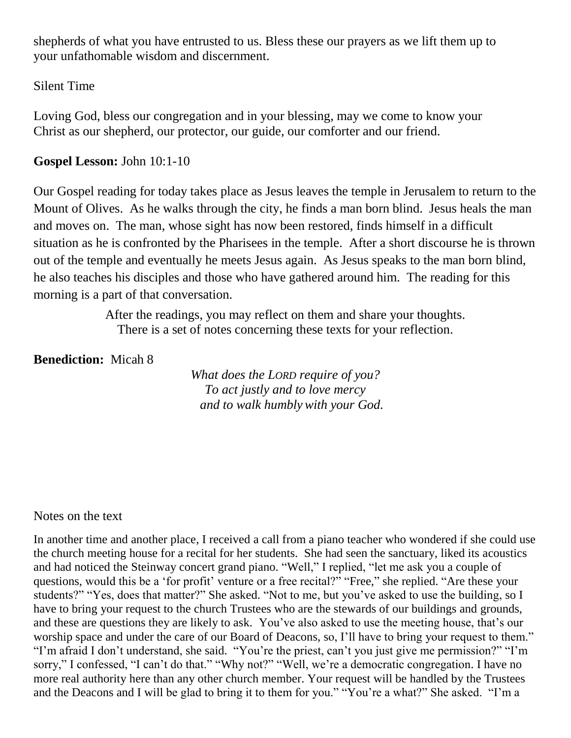shepherds of what you have entrusted to us. Bless these our prayers as we lift them up to your unfathomable wisdom and discernment.

#### Silent Time

Loving God, bless our congregation and in your blessing, may we come to know your Christ as our shepherd, our protector, our guide, our comforter and our friend.

#### **Gospel Lesson:** John 10:1-10

Our Gospel reading for today takes place as Jesus leaves the temple in Jerusalem to return to the Mount of Olives. As he walks through the city, he finds a man born blind. Jesus heals the man and moves on. The man, whose sight has now been restored, finds himself in a difficult situation as he is confronted by the Pharisees in the temple. After a short discourse he is thrown out of the temple and eventually he meets Jesus again. As Jesus speaks to the man born blind, he also teaches his disciples and those who have gathered around him. The reading for this morning is a part of that conversation.

> After the readings, you may reflect on them and share your thoughts. There is a set of notes concerning these texts for your reflection.

#### **Benediction:** Micah 8

*What does the LORD require of you? To act justly and to love mercy and to walk humbly with your God.*

#### Notes on the text

In another time and another place, I received a call from a piano teacher who wondered if she could use the church meeting house for a recital for her students. She had seen the sanctuary, liked its acoustics and had noticed the Steinway concert grand piano. "Well," I replied, "let me ask you a couple of questions, would this be a 'for profit' venture or a free recital?" "Free," she replied. "Are these your students?" "Yes, does that matter?" She asked. "Not to me, but you've asked to use the building, so I have to bring your request to the church Trustees who are the stewards of our buildings and grounds, and these are questions they are likely to ask. You've also asked to use the meeting house, that's our worship space and under the care of our Board of Deacons, so, I'll have to bring your request to them." "I'm afraid I don't understand, she said. "You're the priest, can't you just give me permission?" "I'm sorry," I confessed, "I can't do that." "Why not?" "Well, we're a democratic congregation. I have no more real authority here than any other church member. Your request will be handled by the Trustees and the Deacons and I will be glad to bring it to them for you." "You're a what?" She asked. "I'm a